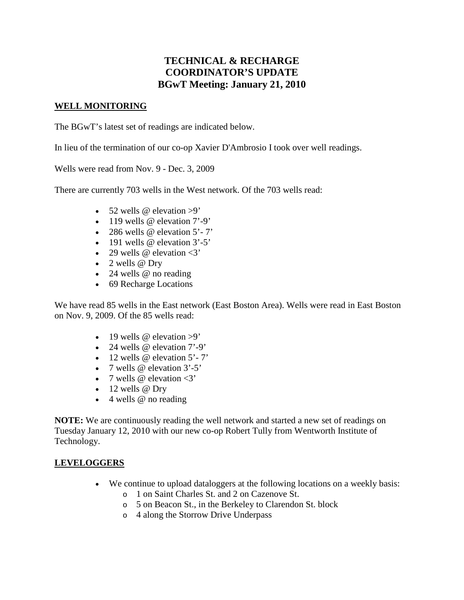# **TECHNICAL & RECHARGE COORDINATOR'S UPDATE BGwT Meeting: January 21, 2010**

#### **WELL MONITORING**

The BGwT's latest set of readings are indicated below.

In lieu of the termination of our co-op Xavier D'Ambrosio I took over well readings.

Wells were read from Nov. 9 - Dec. 3, 2009

There are currently 703 wells in the West network. Of the 703 wells read:

- 52 wells  $\omega$  elevation >9'
- $\bullet$  119 wells @ elevation 7'-9'
- 286 wells  $@$  elevation  $5'$ -7'
- 191 wells @ elevation 3'-5'
- 29 wells  $\omega$  elevation  $\langle 3 \rangle$
- $\bullet$  2 wells @ Dry
- 24 wells @ no reading
- 69 Recharge Locations

We have read 85 wells in the East network (East Boston Area). Wells were read in East Boston on Nov. 9, 2009. Of the 85 wells read:

- 19 wells  $\omega$  elevation  $>9'$
- 24 wells @ elevation 7'-9'
- $\bullet$  12 wells @ elevation 5'-7'
- 7 wells  $\omega$  elevation  $3'$ -5'
- 7 wells  $\omega$  elevation  $\langle 3 \rangle$
- $\bullet$  12 wells @ Dry
- $\bullet$  4 wells @ no reading

**NOTE:** We are continuously reading the well network and started a new set of readings on Tuesday January 12, 2010 with our new co-op Robert Tully from Wentworth Institute of Technology.

### **LEVELOGGERS**

- We continue to upload dataloggers at the following locations on a weekly basis:
	- o 1 on Saint Charles St. and 2 on Cazenove St.
	- o 5 on Beacon St., in the Berkeley to Clarendon St. block
	- o 4 along the Storrow Drive Underpass